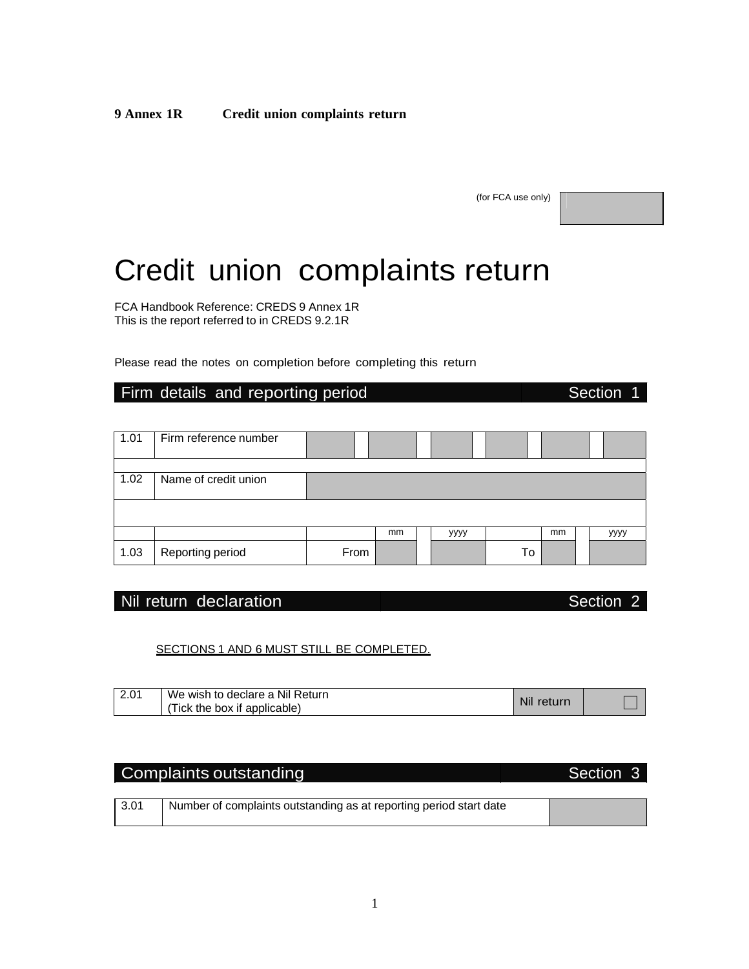**9 Annex 1R Credit union complaints return**

(for FCA use only)

# Credit union complaints return

FCA Handbook Reference: CREDS 9 Annex 1R This is the report referred to in CREDS 9.2.1R

Please read the notes on completion before completing this return

### Firm details and reporting period **Section 1** Section 1

1.01 | Firm reference number 1.02 Name of credit union mm yyyy mm yyyy 1.03 Reporting period From To

### Nil return declaration and section 2

#### SECTIONS 1 AND 6 MUST STILL BE COMPLETED.

| 2.01 | We wish to declare a Nil Return<br>(Tick the box if applicable) | Nil<br>return |  |
|------|-----------------------------------------------------------------|---------------|--|
|------|-----------------------------------------------------------------|---------------|--|

# Complaints outstanding The Complaints of the Section 3

| Number of complaints outstanding as at reporting period start date |  |
|--------------------------------------------------------------------|--|
|                                                                    |  |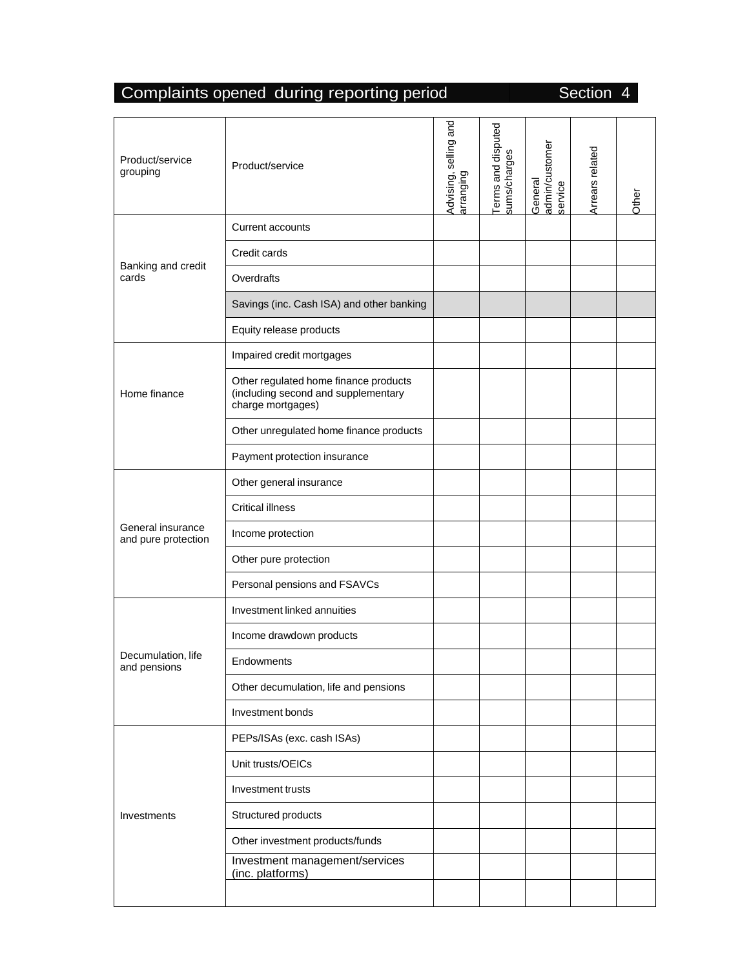# Complaints opened during reporting period Section 4

| Product/service<br>grouping              | Product/service                                                                                   | Advising, selling and<br>arranging | Terms and disputed<br>sums/charges | admin/customer<br>General<br>service | Arrears related | Other |
|------------------------------------------|---------------------------------------------------------------------------------------------------|------------------------------------|------------------------------------|--------------------------------------|-----------------|-------|
|                                          | <b>Current accounts</b>                                                                           |                                    |                                    |                                      |                 |       |
|                                          | Credit cards                                                                                      |                                    |                                    |                                      |                 |       |
| Banking and credit<br>cards              | Overdrafts                                                                                        |                                    |                                    |                                      |                 |       |
|                                          | Savings (inc. Cash ISA) and other banking                                                         |                                    |                                    |                                      |                 |       |
|                                          | Equity release products                                                                           |                                    |                                    |                                      |                 |       |
|                                          | Impaired credit mortgages                                                                         |                                    |                                    |                                      |                 |       |
| Home finance                             | Other regulated home finance products<br>(including second and supplementary<br>charge mortgages) |                                    |                                    |                                      |                 |       |
|                                          | Other unregulated home finance products                                                           |                                    |                                    |                                      |                 |       |
|                                          | Payment protection insurance                                                                      |                                    |                                    |                                      |                 |       |
|                                          | Other general insurance                                                                           |                                    |                                    |                                      |                 |       |
|                                          | <b>Critical illness</b>                                                                           |                                    |                                    |                                      |                 |       |
| General insurance<br>and pure protection | Income protection                                                                                 |                                    |                                    |                                      |                 |       |
|                                          | Other pure protection                                                                             |                                    |                                    |                                      |                 |       |
|                                          | Personal pensions and FSAVCs                                                                      |                                    |                                    |                                      |                 |       |
|                                          | Investment linked annuities                                                                       |                                    |                                    |                                      |                 |       |
|                                          | Income drawdown products                                                                          |                                    |                                    |                                      |                 |       |
| Decumulation, life<br>and pensions       | <b>Endowments</b>                                                                                 |                                    |                                    |                                      |                 |       |
|                                          | Other decumulation, life and pensions                                                             |                                    |                                    |                                      |                 |       |
|                                          | Investment bonds                                                                                  |                                    |                                    |                                      |                 |       |
|                                          | PEPs/ISAs (exc. cash ISAs)                                                                        |                                    |                                    |                                      |                 |       |
|                                          | Unit trusts/OEICs                                                                                 |                                    |                                    |                                      |                 |       |
|                                          | Investment trusts                                                                                 |                                    |                                    |                                      |                 |       |
| Investments                              | Structured products                                                                               |                                    |                                    |                                      |                 |       |
|                                          | Other investment products/funds                                                                   |                                    |                                    |                                      |                 |       |
|                                          | Investment management/services<br>(inc. platforms)                                                |                                    |                                    |                                      |                 |       |
|                                          |                                                                                                   |                                    |                                    |                                      |                 |       |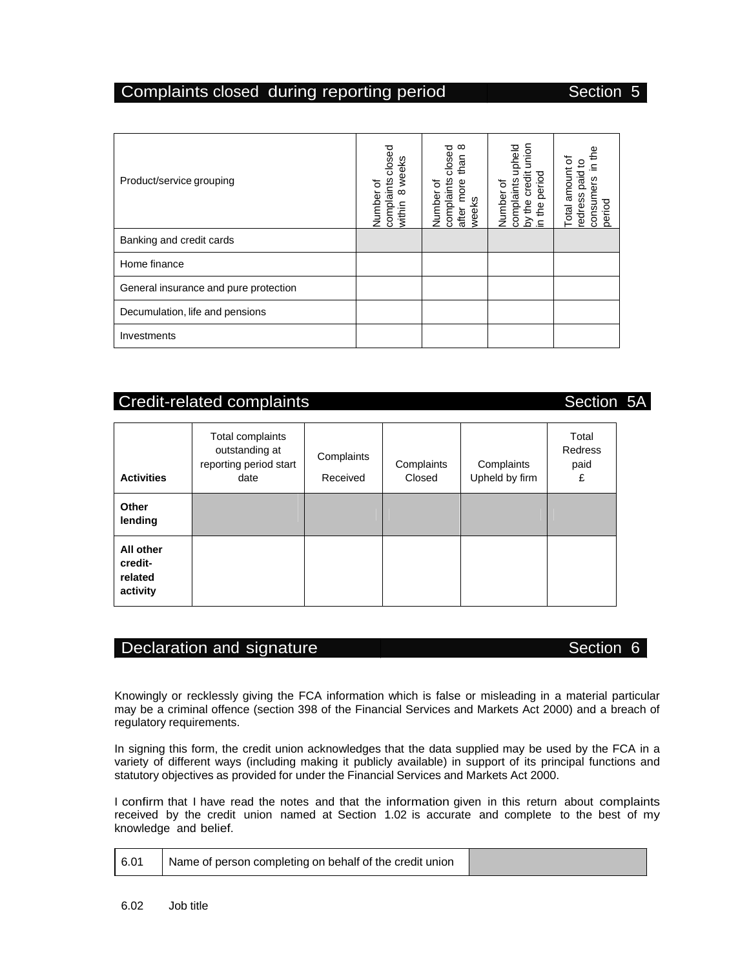#### Complaints closed during reporting period

| Section |  |  |
|---------|--|--|
|         |  |  |

| Product/service grouping              | closed<br>weeks<br>complaints<br>ㅎ<br>$\infty$<br>Number<br>within | $^\infty$<br>closed<br>than<br>complaints<br>more<br>৳<br>Number<br>weeks<br>after | union<br>upheld<br>credit<br>period<br>complaints<br>৳<br>Number<br>the<br>the<br>≿<br>$\equiv$ | e4<br>ö<br>amount<br>paid<br>ners<br>edress<br>period<br>otal<br>თ |
|---------------------------------------|--------------------------------------------------------------------|------------------------------------------------------------------------------------|-------------------------------------------------------------------------------------------------|--------------------------------------------------------------------|
| Banking and credit cards              |                                                                    |                                                                                    |                                                                                                 |                                                                    |
| Home finance                          |                                                                    |                                                                                    |                                                                                                 |                                                                    |
| General insurance and pure protection |                                                                    |                                                                                    |                                                                                                 |                                                                    |
| Decumulation, life and pensions       |                                                                    |                                                                                    |                                                                                                 |                                                                    |
| Investments                           |                                                                    |                                                                                    |                                                                                                 |                                                                    |

## Credit-related complaints Section 5A

**Activities**  Total complaints outstanding at reporting period start date **Complaints** Received **Complaints** Closed **Complaints** Upheld by firm Total Redress paid £ **Other lending All other creditrelated activity** 

#### Declaration and signature **Section 6** and Section 6

Knowingly or recklessly giving the FCA information which is false or misleading in a material particular may be a criminal offence (section 398 of the Financial Services and Markets Act 2000) and a breach of regulatory requirements.

In signing this form, the credit union acknowledges that the data supplied may be used by the FCA in a variety of different ways (including making it publicly available) in support of its principal functions and statutory objectives as provided for under the Financial Services and Markets Act 2000.

I confirm that I have read the notes and that the information given in this return about complaints received by the credit union named at Section 1.02 is accurate and complete to the best of my knowledge and belief.

| l 6.01 | Name of person completing on behalf of the credit union |  |
|--------|---------------------------------------------------------|--|
|--------|---------------------------------------------------------|--|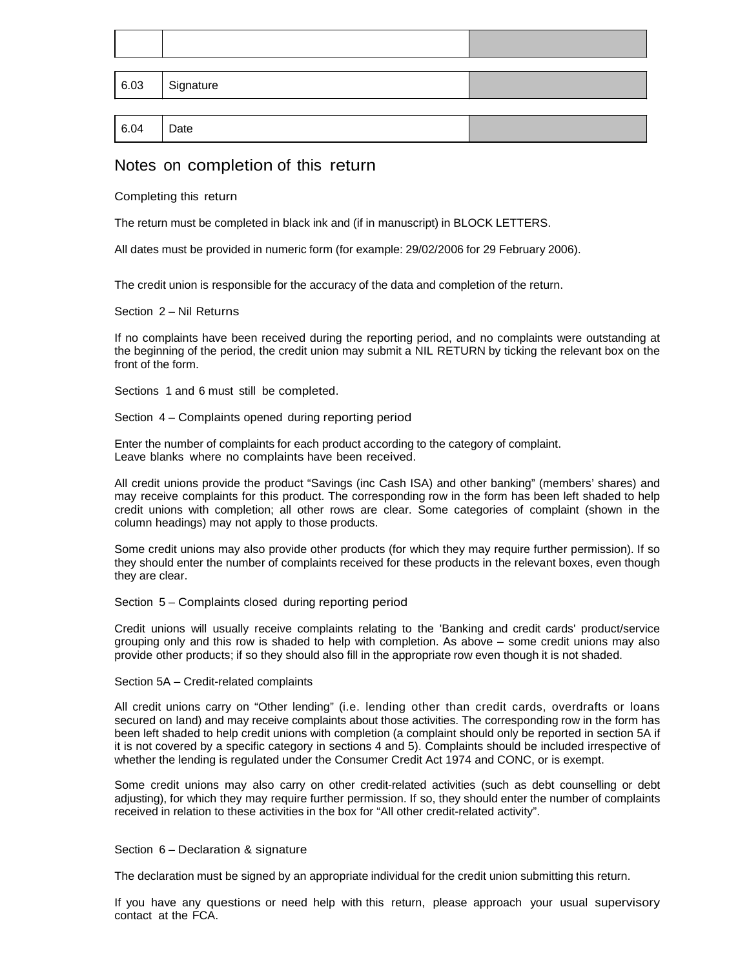|      | $  6.03  $ Signature |  |
|------|----------------------|--|
|      |                      |  |
| 6.04 | $ $ Date             |  |

#### Notes on completion of this return

Completing this return

The return must be completed in black ink and (if in manuscript) in BLOCK LETTERS.

All dates must be provided in numeric form (for example: 29/02/2006 for 29 February 2006).

The credit union is responsible for the accuracy of the data and completion of the return.

Section 2 – Nil Returns

If no complaints have been received during the reporting period, and no complaints were outstanding at the beginning of the period, the credit union may submit a NIL RETURN by ticking the relevant box on the front of the form.

Sections 1 and 6 must still be completed.

Section 4 – Complaints opened during reporting period

Enter the number of complaints for each product according to the category of complaint. Leave blanks where no complaints have been received.

All credit unions provide the product "Savings (inc Cash ISA) and other banking" (members' shares) and may receive complaints for this product. The corresponding row in the form has been left shaded to help credit unions with completion; all other rows are clear. Some categories of complaint (shown in the column headings) may not apply to those products.

Some credit unions may also provide other products (for which they may require further permission). If so they should enter the number of complaints received for these products in the relevant boxes, even though they are clear.

Section 5 – Complaints closed during reporting period

Credit unions will usually receive complaints relating to the 'Banking and credit cards' product/service grouping only and this row is shaded to help with completion. As above – some credit unions may also provide other products; if so they should also fill in the appropriate row even though it is not shaded.

Section 5A – Credit-related complaints

All credit unions carry on "Other lending" (i.e. lending other than credit cards, overdrafts or loans secured on land) and may receive complaints about those activities. The corresponding row in the form has been left shaded to help credit unions with completion (a complaint should only be reported in section 5A if it is not covered by a specific category in sections 4 and 5). Complaints should be included irrespective of whether the lending is regulated under the Consumer Credit Act 1974 and CONC, or is exempt.

Some credit unions may also carry on other credit-related activities (such as debt counselling or debt adjusting), for which they may require further permission. If so, they should enter the number of complaints received in relation to these activities in the box for "All other credit-related activity".

#### Section 6 – Declaration & signature

The declaration must be signed by an appropriate individual for the credit union submitting this return.

If you have any questions or need help with this return, please approach your usual supervisory contact at the FCA.